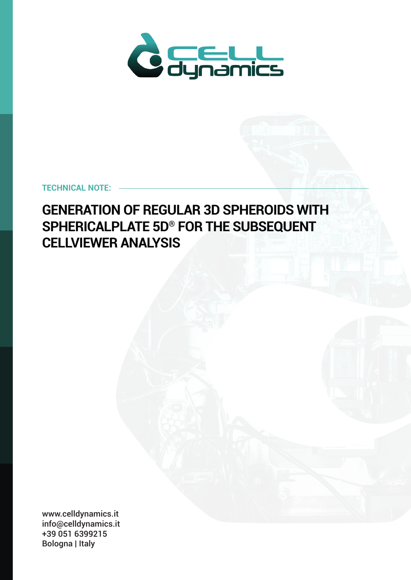

# **TECHNICAL NOTE:**

# **GENERATION OF REGULAR 3D SPHEROIDS WITH SPHERICALPLATE 5D® FOR THE SUBSEQUENT CELLVIEWER ANALYSIS**

www.celldynamics.it info@celldynamics.it +39 051 6399215 Bologna | Italy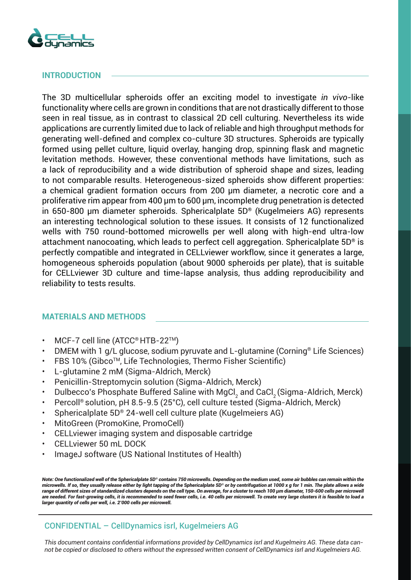

# **INTRODUCTION**

The 3D multicellular spheroids offer an exciting model to investigate *in vivo*-like functionality where cells are grown in conditions that are not drastically different to those seen in real tissue, as in contrast to classical 2D cell culturing. Nevertheless its wide applications are currently limited due to lack of reliable and high throughput methods for generating well-defined and complex co-culture 3D structures. Spheroids are typically formed using pellet culture, liquid overlay, hanging drop, spinning flask and magnetic levitation methods. However, these conventional methods have limitations, such as a lack of reproducibility and a wide distribution of spheroid shape and sizes, leading to not comparable results. Heterogeneous-sized spheroids show different properties: a chemical gradient formation occurs from 200 μm diameter, a necrotic core and a proliferative rim appear from 400 μm to 600 μm, incomplete drug penetration is detected in 650-800 μm diameter spheroids. Sphericalplate 5D® (Kugelmeiers AG) represents an interesting technological solution to these issues. It consists of 12 functionalized wells with 750 round-bottomed microwells per well along with high-end ultra-low attachment nanocoating, which leads to perfect cell aggregation. Sphericalplate 5D<sup>®</sup> is perfectly compatible and integrated in CELLviewer workflow, since it generates a large, homogeneous spheroids population (about 9000 spheroids per plate), that is suitable for CELLviewer 3D culture and time-lapse analysis, thus adding reproducibility and reliability to tests results.

# **MATERIALS AND METHODS**

- MCF-7 cell line (ATCC® HTB-22TM)
- DMEM with 1 g/L glucose, sodium pyruvate and L-glutamine (Corning® Life Sciences)
- FBS 10% (Gibco<sup>TM</sup>, Life Technologies, Thermo Fisher Scientific)
- L-glutamine 2 mM (Sigma-Aldrich, Merck)
- Penicillin-Streptomycin solution (Sigma-Aldrich, Merck)
- Dulbecco's Phosphate Buffered Saline with MgCl<sub>2</sub> and CaCl<sub>2</sub> (Sigma-Aldrich, Merck)
- Percoll® solution, pH 8.5-9.5 (25°C), cell culture tested (Sigma-Aldrich, Merck)
- Sphericalplate 5D® 24-well cell culture plate (Kugelmeiers AG)
- MitoGreen (PromoKine, PromoCell)
- CELLviewer imaging system and disposable cartridge
- CELLviewer 50 mL DOCK
- ImageJ software (US National Institutes of Health)

*Note: One functionalized well of the Sphericalplate 5D® contains 750 microwells. Depending on the medium used, some air bubbles can remain within the microwells. If so, they usually release either by light tapping of the Sphericalplate 5D® or by centrifugation at 1000 x g for 1 min. The plate allows a wide*  range of different sizes of standardized clusters depends on the cell type. On average, for a cluster to reach 100 μm diameter, 150-600 cells per microwell *are needed. For fast-growing cells, it is recommended to seed fewer cells, i.e. 40 cells per microwell. To create very large clusters it is feasible to load a larger quantity of cells per well, i.e. 2'000 cells per microwell.*

# CONFIDENTIAL – CellDynamics isrl, Kugelmeiers AG

*This document contains confidential informations provided by CellDynamics isrl and Kugelmeirs AG. These data cannot be copied or disclosed to others without the expressed written consent of CellDynamics isrl and Kugelmeiers AG.*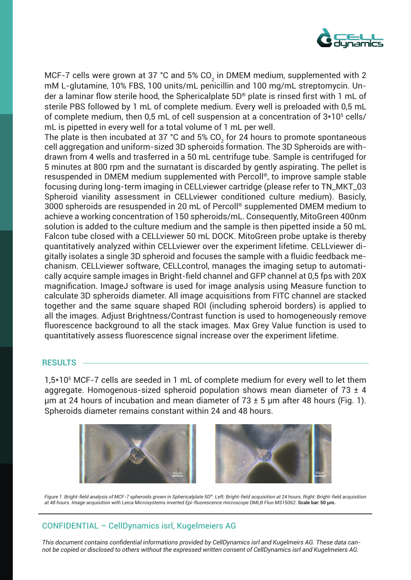

MCF-7 cells were grown at 37 °C and 5% CO $_{\rm 2}$  in DMEM medium, supplemented with 2 mM L-glutamine, 10% FBS, 100 units/mL penicillin and 100 mg/mL streptomycin. Under a laminar flow sterile hood, the Sphericalplate 5D® plate is rinsed first with 1 mL of sterile PBS followed by 1 mL of complete medium. Every well is preloaded with 0,5 mL of complete medium, then 0,5 mL of cell suspension at a concentration of  $3*10<sup>5</sup>$  cells/ mL is pipetted in every well for a total volume of 1 mL per well.

The plate is then incubated at 37 °C and 5% CO<sub>2</sub> for 24 hours to promote spontaneous cell aggregation and uniform-sized 3D spheroids formation. The 3D Spheroids are withdrawn from 4 wells and trasferred in a 50 mL centrifuge tube. Sample is centrifuged for 5 minutes at 800 rpm and the surnatant is discarded by gently aspirating. The pellet is resuspended in DMEM medium supplemented with Percoll®, to improve sample stable focusing during long-term imaging in CELLviewer cartridge (please refer to TN\_MKT\_03 Spheroid vianility assessment in CELLviewer conditioned culture medium). Basicly, 3000 spheroids are resuspended in 20 mL of Percoll® supplemented DMEM medium to achieve a working concentration of 150 spheroids/mL. Consequently, MitoGreen 400nm solution is added to the culture medium and the sample is then pipetted inside a 50 mL Falcon tube closed with a CELLviewer 50 mL DOCK. MitoGreen probe uptake is thereby quantitatively analyzed within CELLviewer over the experiment lifetime. CELLviewer digitally isolates a single 3D spheroid and focuses the sample with a fluidic feedback mechanism. CELLviewer software, CELLcontrol, manages the imaging setup to automatically acquire sample images in Bright-field channel and GFP channel at 0,5 fps with 20X magnification. ImageJ software is used for image analysis using Measure function to calculate 3D spheroids diameter. All image acquisitions from FITC channel are stacked together and the same square shaped ROI (including spheroid borders) is applied to all the images. Adjust Brightness/Contrast function is used to homogeneously remove fluorescence background to all the stack images. Max Grey Value function is used to quantitatively assess fluorescence signal increase over the experiment lifetime.

#### **RESULTS**

1,5\*105 MCF-7 cells are seeded in 1 mL of complete medium for every well to let them aggregate. Homogenous-sized spheroid population shows mean diameter of  $73 \pm 4$ um at 24 hours of incubation and mean diameter of  $73 \pm 5$  um after 48 hours (Fig. 1). Spheroids diameter remains constant within 24 and 48 hours.



*Figure 1. Bright-field analysis of MCF-7 spheroids grown in Sphericalplate 5D®. Left: Bright-field acquisition at 24 hours. Right: Bright-field acquisition at 48 hours. Image acquisition with Leica Microsystems inverted Epi-fluorescence microscope DMLB Fluo MS15062.* **Scale bar: 50 μm.**

# CONFIDENTIAL – CellDynamics isrl, Kugelmeiers AG

*This document contains confidential informations provided by CellDynamics isrl and Kugelmeirs AG. These data cannot be copied or disclosed to others without the expressed written consent of CellDynamics isrl and Kugelmeiers AG.*